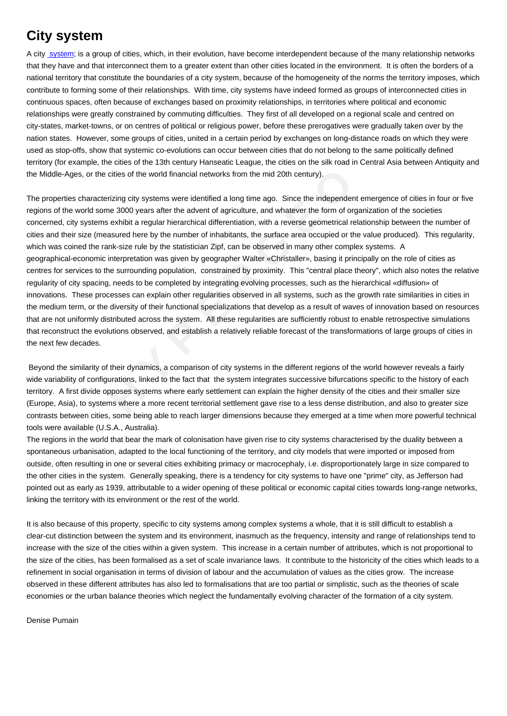## **City system**

A city system; is a group of cities, which, in their evolution, have become interdependent because of the many relationship networks that they have and that interconnect them to a greater extent than other cities located in the environment. It is often the borders of a national territory that constitute the boundaries of a city system, because of the homogeneity of the norms the territory imposes, which contribute to forming some of their relationships. With time, city systems have indeed formed as groups of interconnected cities in contin[uous spa](http://www.hypergeo.eu/spip.php?mot218)ces, often because of exchanges based on proximity relationships, in territories where political and economic relationships were greatly constrained by commuting difficulties. They first of all developed on a regional scale and centred on city-states, market-towns, or on centres of political or religious power, before these prerogatives were gradually taken over by the nation states. However, some groups of cities, united in a certain period by exchanges on long-distance roads on which they were used as stop-offs, show that systemic co-evolutions can occur between cities that do not belong to the same politically defined territory (for example, the cities of the 13th century Hanseatic League, the cities on the silk road in Central Asia between Antiquity and the Middle-Ages, or the cities of the world financial networks from the mid 20th century).

or the cities of the world financial networks from the mid 20th century).<br>
aracterizing city systems were identified a long time ago. Since the independent er<br>
drid some 3000 years after the advent of agriculture, and what The properties characterizing city systems were identified a long time ago. Since the independent emergence of cities in four or five regions of the world some 3000 years after the advent of agriculture, and whatever the form of organization of the societies concerned, city systems exhibit a regular hierarchical differentiation, with a reverse geometrical relationship between the number of cities and their size (measured here by the number of inhabitants, the surface area occupied or the value produced). This regularity, which was coined the rank-size rule by the statistician Zipf, can be observed in many other complex systems. A geographical-economic interpretation was given by geographer Walter «Christaller», basing it principally on the role of cities as centres for services to the surrounding population, constrained by proximity. This "central place theory", which also notes the relative regularity of city spacing, needs to be completed by integrating evolving processes, such as the hierarchical «diffusion» of innovations. These processes can explain other regularities observed in all systems, such as the growth rate similarities in cities in the medium term, or the diversity of their functional specializations that develop as a result of waves of innovation based on resources that are not uniformly distributed across the system. All these regularities are sufficiently robust to enable retrospective simulations that reconstruct the evolutions observed, and establish a relatively reliable forecast of the transformations of large groups of cities in the next few decades.

 Beyond the similarity of their dynamics, a comparison of city systems in the different regions of the world however reveals a fairly wide variability of configurations, linked to the fact that the system integrates successive bifurcations specific to the history of each territory. A first divide opposes systems where early settlement can explain the higher density of the cities and their smaller size (Europe, Asia), to systems where a more recent territorial settlement gave rise to a less dense distribution, and also to greater size contrasts between cities, some being able to reach larger dimensions because they emerged at a time when more powerful technical tools were available (U.S.A., Australia).

The regions in the world that bear the mark of colonisation have given rise to city systems characterised by the duality between a spontaneous urbanisation, adapted to the local functioning of the territory, and city models that were imported or imposed from outside, often resulting in one or several cities exhibiting primacy or macrocephaly, i.e. disproportionately large in size compared to the other cities in the system. Generally speaking, there is a tendency for city systems to have one "prime" city, as Jefferson had pointed out as early as 1939, attributable to a wider opening of these political or economic capital cities towards long-range networks, linking the territory with its environment or the rest of the world.

It is also because of this property, specific to city systems among complex systems a whole, that it is still difficult to establish a clear-cut distinction between the system and its environment, inasmuch as the frequency, intensity and range of relationships tend to increase with the size of the cities within a given system. This increase in a certain number of attributes, which is not proportional to the size of the cities, has been formalised as a set of scale invariance laws. It contribute to the historicity of the cities which leads to a refinement in social organisation in terms of division of labour and the accumulation of values as the cities grow. The increase observed in these different attributes has also led to formalisations that are too partial or simplistic, such as the theories of scale economies or the urban balance theories which neglect the fundamentally evolving character of the formation of a city system.

Denise Pumain